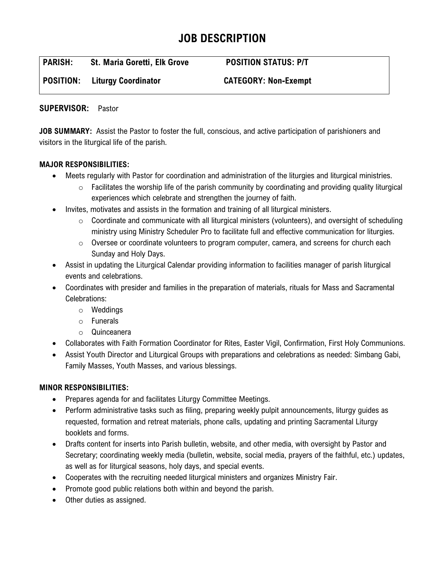# **JOB DESCRIPTION**

| <b>PARISH:</b> | <b>St. Maria Goretti, Elk Grove</b> | <b>POSITION STATUS: P/T</b> |
|----------------|-------------------------------------|-----------------------------|
| POSITION:      | <b>Liturgy Coordinator</b>          | <b>CATEGORY: Non-Exempt</b> |

## **SUPERVISOR:** Pastor

**JOB SUMMARY:** Assist the Pastor to foster the full, conscious, and active participation of parishioners and visitors in the liturgical life of the parish.

## **MAJOR RESPONSIBILITIES:**

- Meets regularly with Pastor for coordination and administration of the liturgies and liturgical ministries.
	- $\circ$  Facilitates the worship life of the parish community by coordinating and providing quality liturgical experiences which celebrate and strengthen the journey of faith.
- Invites, motivates and assists in the formation and training of all liturgical ministers.
	- $\circ$  Coordinate and communicate with all liturgical ministers (volunteers), and oversight of scheduling ministry using Ministry Scheduler Pro to facilitate full and effective communication for liturgies.
	- $\circ$  Oversee or coordinate volunteers to program computer, camera, and screens for church each Sunday and Holy Days.
- Assist in updating the Liturgical Calendar providing information to facilities manager of parish liturgical events and celebrations.
- Coordinates with presider and families in the preparation of materials, rituals for Mass and Sacramental Celebrations:
	- o Weddings
	- o Funerals
	- o Quinceanera
- Collaborates with Faith Formation Coordinator for Rites, Easter Vigil, Confirmation, First Holy Communions.
- Assist Youth Director and Liturgical Groups with preparations and celebrations as needed: Simbang Gabi, Family Masses, Youth Masses, and various blessings.

# **MINOR RESPONSIBILITIES:**

- Prepares agenda for and facilitates Liturgy Committee Meetings.
- Perform administrative tasks such as filing, preparing weekly pulpit announcements, liturgy guides as requested, formation and retreat materials, phone calls, updating and printing Sacramental Liturgy booklets and forms.
- Drafts content for inserts into Parish bulletin, website, and other media, with oversight by Pastor and Secretary; coordinating weekly media (bulletin, website, social media, prayers of the faithful, etc.) updates, as well as for liturgical seasons, holy days, and special events.
- Cooperates with the recruiting needed liturgical ministers and organizes Ministry Fair.
- Promote good public relations both within and beyond the parish.
- Other duties as assigned.